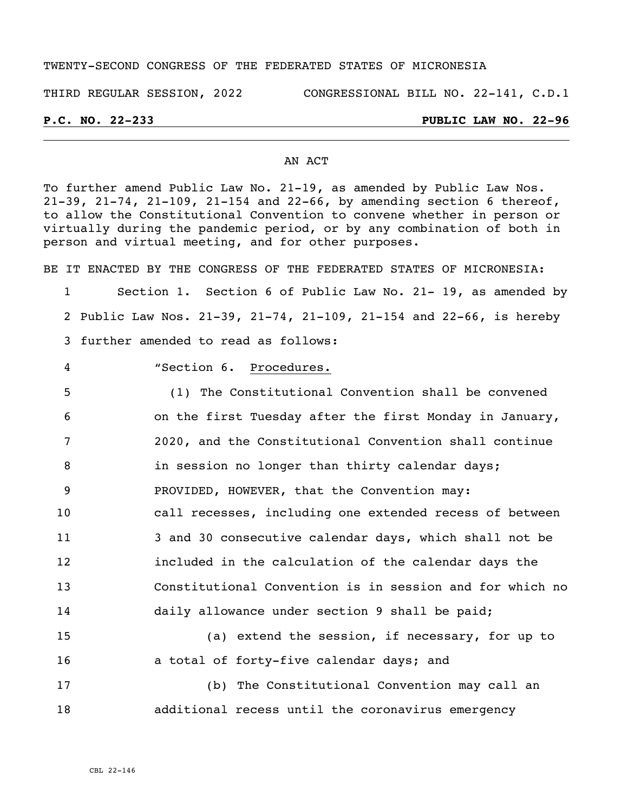### TWENTY-SECOND CONGRESS OF THE FEDERATED STATES OF MICRONESIA

THIRD REGULAR SESSION, 2022 CONGRESSIONAL BILL NO. 22-141, C.D.1

# **P.C. NO. 22-233 PUBLIC LAW NO. 22-96**

## AN ACT

To further amend Public Law No. 21-19, as amended by Public Law Nos. 21-39, 21-74, 21-109, 21-154 and 22-66, by amending section 6 thereof, to allow the Constitutional Convention to convene whether in person or virtually during the pandemic period, or by any combination of both in person and virtual meeting, and for other purposes.

BE IT ENACTED BY THE CONGRESS OF THE FEDERATED STATES OF MICRONESIA: Section 1. Section 6 of Public Law No. 21- 19, as amended by Public Law Nos. 21-39, 21-74, 21-109, 21-154 and 22-66, is hereby further amended to read as follows:

"Section 6. Procedures.

 (1) The Constitutional Convention shall be convened on the first Tuesday after the first Monday in January, 2020, and the Constitutional Convention shall continue **in session no longer than thirty calendar days;**  PROVIDED, HOWEVER, that the Convention may: call recesses, including one extended recess of between 3 and 30 consecutive calendar days, which shall not be included in the calculation of the calendar days the Constitutional Convention is in session and for which no daily allowance under section 9 shall be paid; (a) extend the session, if necessary, for up to

**a** total of forty-five calendar days; and (b) The Constitutional Convention may call an additional recess until the coronavirus emergency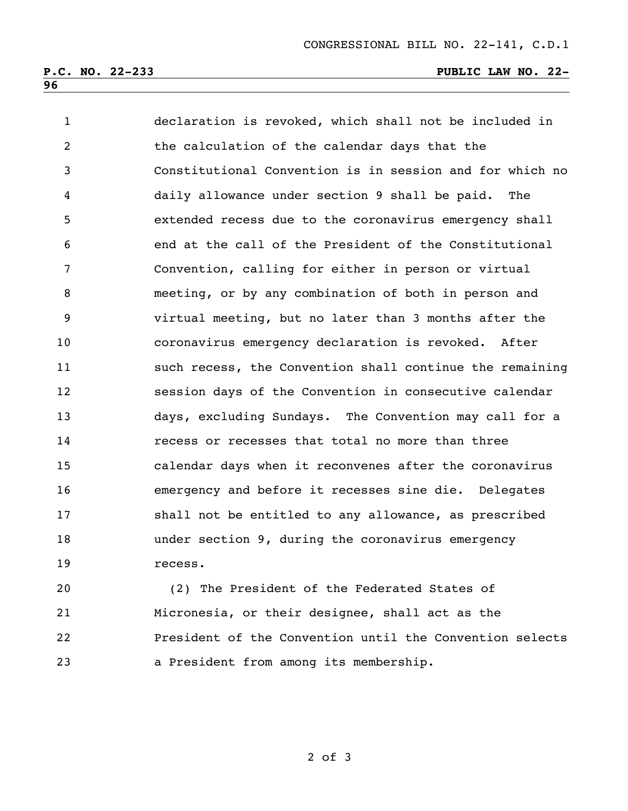| $\mathbf{1}$   | declaration is revoked, which shall not be included in   |
|----------------|----------------------------------------------------------|
| $\overline{2}$ | the calculation of the calendar days that the            |
| 3              | Constitutional Convention is in session and for which no |
| 4              | daily allowance under section 9 shall be paid. The       |
| 5              | extended recess due to the coronavirus emergency shall   |
| 6              | end at the call of the President of the Constitutional   |
| 7              | Convention, calling for either in person or virtual      |
| 8              | meeting, or by any combination of both in person and     |
| 9              | virtual meeting, but no later than 3 months after the    |
| 10             | coronavirus emergency declaration is revoked. After      |
| 11             | such recess, the Convention shall continue the remaining |
| 12             | session days of the Convention in consecutive calendar   |
| 13             | days, excluding Sundays. The Convention may call for a   |
| 14             | recess or recesses that total no more than three         |
| 15             | calendar days when it reconvenes after the coronavirus   |
| 16             | emergency and before it recesses sine die. Delegates     |
| 17             | shall not be entitled to any allowance, as prescribed    |
| 18             | under section 9, during the coronavirus emergency        |
| 19             | recess.                                                  |

 (2) The President of the Federated States of Micronesia, or their designee, shall act as the President of the Convention until the Convention selects a President from among its membership.

of 3